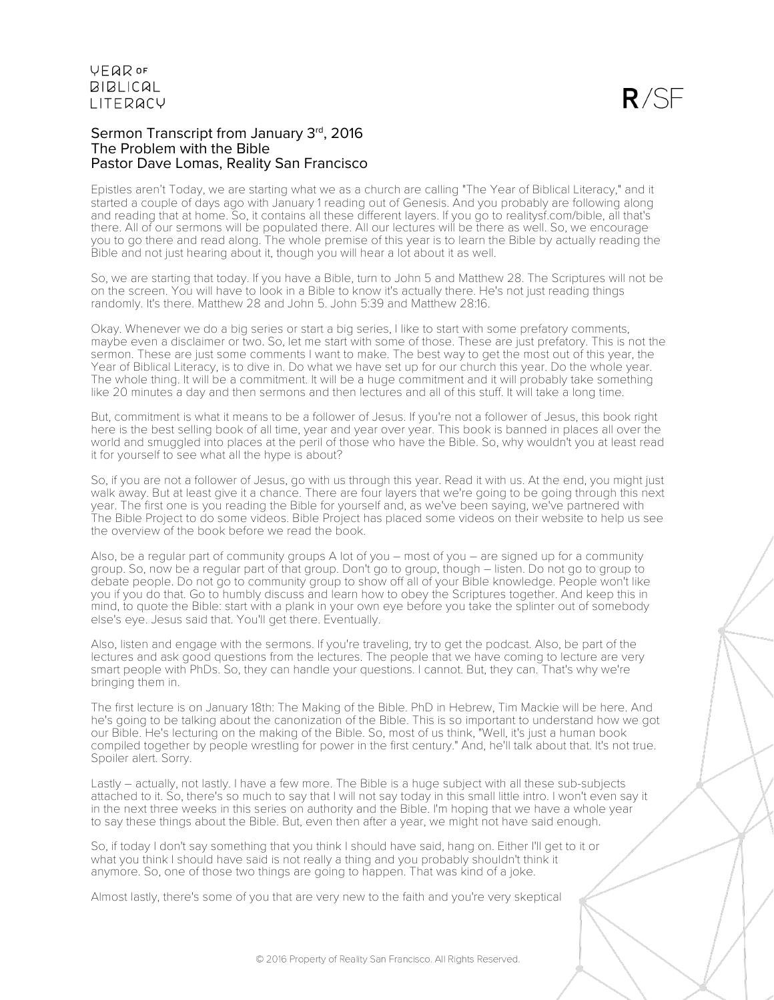## Sermon Transcript from January 3rd, 2016 The Problem with the Bible Pastor Dave Lomas, Reality San Francisco

Epistles aren't Today, we are starting what we as a church are calling "The Year of Biblical Literacy," and it started a couple of days ago with January 1 reading out of Genesis. And you probably are following along and reading that at home. So, it contains all these different layers. If you go to realitysf.com/bible, all that's there. All of our sermons will be populated there. All our lectures will be there as well. So, we encourage you to go there and read along. The whole premise of this year is to learn the Bible by actually reading the Bible and not just hearing about it, though you will hear a lot about it as well.

So, we are starting that today. If you have a Bible, turn to John 5 and Matthew 28. The Scriptures will not be on the screen. You will have to look in a Bible to know it's actually there. He's not just reading things randomly. It's there. Matthew 28 and John 5. John 5:39 and Matthew 28:16.

Okay. Whenever we do a big series or start a big series, I like to start with some prefatory comments, maybe even a disclaimer or two. So, let me start with some of those. These are just prefatory. This is not the sermon. These are just some comments I want to make. The best way to get the most out of this year, the Year of Biblical Literacy, is to dive in. Do what we have set up for our church this year. Do the whole year. The whole thing. It will be a commitment. It will be a huge commitment and it will probably take something like 20 minutes a day and then sermons and then lectures and all of this stuff. It will take a long time.

But, commitment is what it means to be a follower of Jesus. If you're not a follower of Jesus, this book right here is the best selling book of all time, year and year over year. This book is banned in places all over the world and smuggled into places at the peril of those who have the Bible. So, why wouldn't you at least read it for yourself to see what all the hype is about?

So, if you are not a follower of Jesus, go with us through this year. Read it with us. At the end, you might just walk away. But at least give it a chance. There are four layers that we're going to be going through this next year. The first one is you reading the Bible for yourself and, as we've been saying, we've partnered with The Bible Project to do some videos. Bible Project has placed some videos on their website to help us see the overview of the book before we read the book.

Also, be a regular part of community groups A lot of you – most of you – are signed up for a community group. So, now be a regular part of that group. Don't go to group, though – listen. Do not go to group to debate people. Do not go to community group to show off all of your Bible knowledge. People won't like you if you do that. Go to humbly discuss and learn how to obey the Scriptures together. And keep this in mind, to quote the Bible: start with a plank in your own eye before you take the splinter out of somebody else's eye. Jesus said that. You'll get there. Eventually.

Also, listen and engage with the sermons. If you're traveling, try to get the podcast. Also, be part of the lectures and ask good questions from the lectures. The people that we have coming to lecture are very smart people with PhDs. So, they can handle your questions. I cannot. But, they can. That's why we're bringing them in.

The first lecture is on January 18th: The Making of the Bible. PhD in Hebrew, Tim Mackie will be here. And he's going to be talking about the canonization of the Bible. This is so important to understand how we got our Bible. He's lecturing on the making of the Bible. So, most of us think, "Well, it's just a human book compiled together by people wrestling for power in the first century." And, he'll talk about that. It's not true. Spoiler alert. Sorry.

Lastly – actually, not lastly. I have a few more. The Bible is a huge subject with all these sub-subjects attached to it. So, there's so much to say that I will not say today in this small little intro. I won't even say it in the next three weeks in this series on authority and the Bible. I'm hoping that we have a whole year to say these things about the Bible. But, even then after a year, we might not have said enough.

So, if today I don't say something that you think I should have said, hang on. Either I'll get to it or what you think I should have said is not really a thing and you probably shouldn't think it anymore. So, one of those two things are going to happen. That was kind of a joke.

Almost lastly, there's some of you that are very new to the faith and you're very skeptical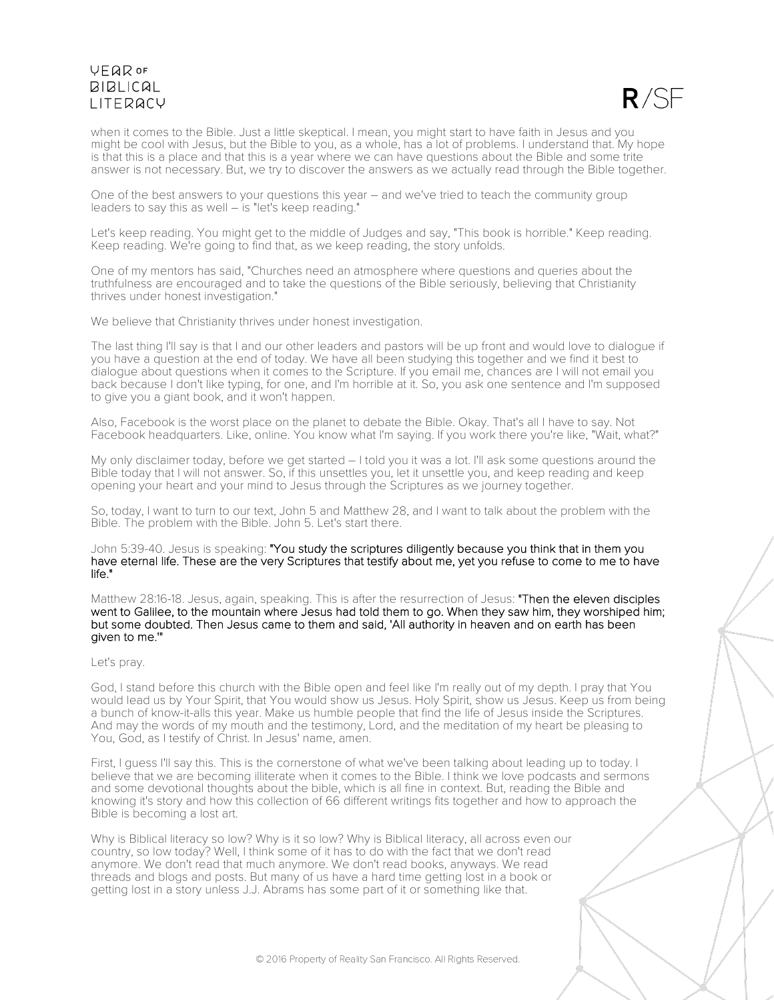

when it comes to the Bible. Just a little skeptical. I mean, you might start to have faith in Jesus and you might be cool with Jesus, but the Bible to you, as a whole, has a lot of problems. I understand that. My hope is that this is a place and that this is a year where we can have questions about the Bible and some trite answer is not necessary. But, we try to discover the answers as we actually read through the Bible together.

One of the best answers to your questions this year – and we've tried to teach the community group leaders to say this as well – is "let's keep reading."

Let's keep reading. You might get to the middle of Judges and say, "This book is horrible." Keep reading. Keep reading. We're going to find that, as we keep reading, the story unfolds.

One of my mentors has said, "Churches need an atmosphere where questions and queries about the truthfulness are encouraged and to take the questions of the Bible seriously, believing that Christianity thrives under honest investigation."

We believe that Christianity thrives under honest investigation.

The last thing I'll say is that I and our other leaders and pastors will be up front and would love to dialogue if you have a question at the end of today. We have all been studying this together and we find it best to dialogue about questions when it comes to the Scripture. If you email me, chances are I will not email you back because I don't like typing, for one, and I'm horrible at it. So, you ask one sentence and I'm supposed to give you a giant book, and it won't happen.

Also, Facebook is the worst place on the planet to debate the Bible. Okay. That's all I have to say. Not Facebook headquarters. Like, online. You know what I'm saying. If you work there you're like, "Wait, what?"

My only disclaimer today, before we get started – I told you it was a lot. I'll ask some questions around the Bible today that I will not answer. So, if this unsettles you, let it unsettle you, and keep reading and keep opening your heart and your mind to Jesus through the Scriptures as we journey together.

So, today, I want to turn to our text, John 5 and Matthew 28, and I want to talk about the problem with the Bible. The problem with the Bible. John 5. Let's start there.

### John 5:39-40. Jesus is speaking: "You study the scriptures diligently because you think that in them you have eternal life. These are the very Scriptures that testify about me, yet you refuse to come to me to have life."

Matthew 28:16-18. Jesus, again, speaking. This is after the resurrection of Jesus: "Then the eleven disciples went to Galilee, to the mountain where Jesus had told them to go. When they saw him, they worshiped him; but some doubted. Then Jesus came to them and said, 'All authority in heaven and on earth has been given to me.'"

#### Let's pray.

God, I stand before this church with the Bible open and feel like I'm really out of my depth. I pray that You would lead us by Your Spirit, that You would show us Jesus. Holy Spirit, show us Jesus. Keep us from being a bunch of know-it-alls this year. Make us humble people that find the life of Jesus inside the Scriptures. And may the words of my mouth and the testimony, Lord, and the meditation of my heart be pleasing to You, God, as I testify of Christ. In Jesus' name, amen.

First, I guess I'll say this. This is the cornerstone of what we've been talking about leading up to today. I believe that we are becoming illiterate when it comes to the Bible. I think we love podcasts and sermons and some devotional thoughts about the bible, which is all fine in context. But, reading the Bible and knowing it's story and how this collection of 66 different writings fits together and how to approach the Bible is becoming a lost art.

Why is Biblical literacy so low? Why is it so low? Why is Biblical literacy, all across even our country, so low today? Well, I think some of it has to do with the fact that we don't read anymore. We don't read that much anymore. We don't read books, anyways. We read threads and blogs and posts. But many of us have a hard time getting lost in a book or getting lost in a story unless J.J. Abrams has some part of it or something like that.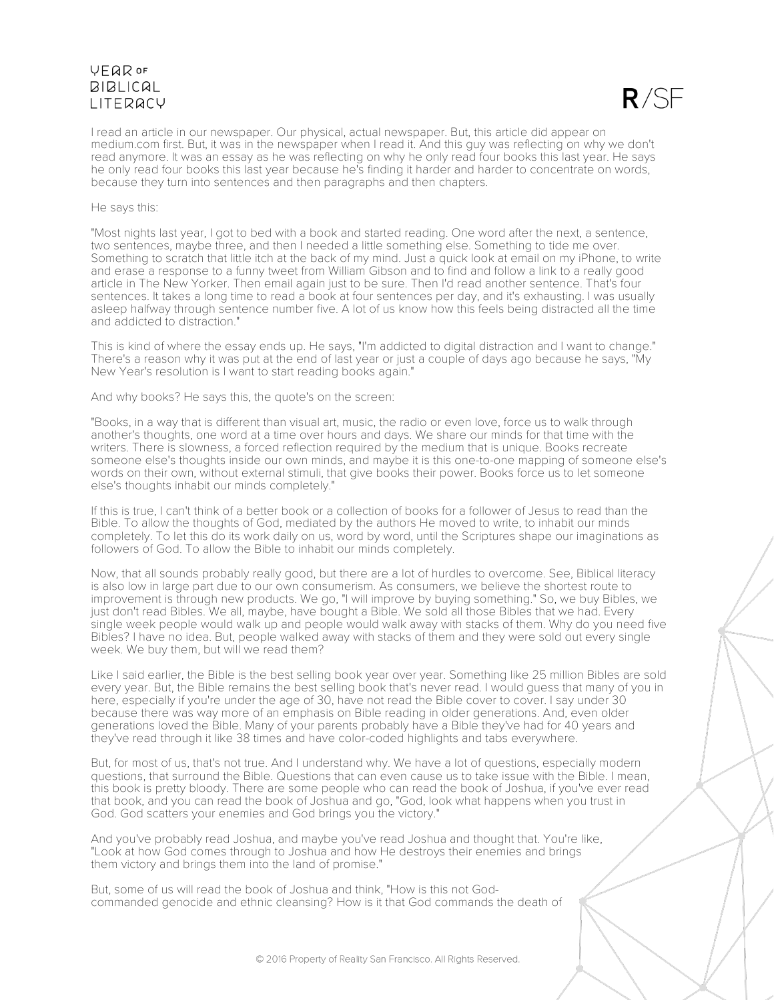

I read an article in our newspaper. Our physical, actual newspaper. But, this article did appear on medium.com first. But, it was in the newspaper when I read it. And this guy was reflecting on why we don't read anymore. It was an essay as he was reflecting on why he only read four books this last year. He says he only read four books this last year because he's finding it harder and harder to concentrate on words, because they turn into sentences and then paragraphs and then chapters.

#### He says this:

"Most nights last year, I got to bed with a book and started reading. One word after the next, a sentence, two sentences, maybe three, and then I needed a little something else. Something to tide me over. Something to scratch that little itch at the back of my mind. Just a quick look at email on my iPhone, to write and erase a response to a funny tweet from William Gibson and to find and follow a link to a really good article in The New Yorker. Then email again just to be sure. Then I'd read another sentence. That's four sentences. It takes a long time to read a book at four sentences per day, and it's exhausting. I was usually asleep halfway through sentence number five. A lot of us know how this feels being distracted all the time and addicted to distraction."

This is kind of where the essay ends up. He says, "I'm addicted to digital distraction and I want to change." There's a reason why it was put at the end of last year or just a couple of days ago because he says, "My New Year's resolution is I want to start reading books again."

And why books? He says this, the quote's on the screen:

"Books, in a way that is different than visual art, music, the radio or even love, force us to walk through another's thoughts, one word at a time over hours and days. We share our minds for that time with the writers. There is slowness, a forced reflection required by the medium that is unique. Books recreate someone else's thoughts inside our own minds, and maybe it is this one-to-one mapping of someone else's words on their own, without external stimuli, that give books their power. Books force us to let someone else's thoughts inhabit our minds completely."

If this is true, I can't think of a better book or a collection of books for a follower of Jesus to read than the Bible. To allow the thoughts of God, mediated by the authors He moved to write, to inhabit our minds completely. To let this do its work daily on us, word by word, until the Scriptures shape our imaginations as followers of God. To allow the Bible to inhabit our minds completely.

Now, that all sounds probably really good, but there are a lot of hurdles to overcome. See, Biblical literacy is also low in large part due to our own consumerism. As consumers, we believe the shortest route to improvement is through new products. We go, "I will improve by buying something." So, we buy Bibles, we just don't read Bibles. We all, maybe, have bought a Bible. We sold all those Bibles that we had. Every single week people would walk up and people would walk away with stacks of them. Why do you need five Bibles? I have no idea. But, people walked away with stacks of them and they were sold out every single week. We buy them, but will we read them?

Like I said earlier, the Bible is the best selling book year over year. Something like 25 million Bibles are sold every year. But, the Bible remains the best selling book that's never read. I would guess that many of you in here, especially if you're under the age of 30, have not read the Bible cover to cover. I say under 30 because there was way more of an emphasis on Bible reading in older generations. And, even older generations loved the Bible. Many of your parents probably have a Bible they've had for 40 years and they've read through it like 38 times and have color-coded highlights and tabs everywhere.

But, for most of us, that's not true. And I understand why. We have a lot of questions, especially modern questions, that surround the Bible. Questions that can even cause us to take issue with the Bible. I mean, this book is pretty bloody. There are some people who can read the book of Joshua, if you've ever read that book, and you can read the book of Joshua and go, "God, look what happens when you trust in God. God scatters your enemies and God brings you the victory."

And you've probably read Joshua, and maybe you've read Joshua and thought that. You're like, "Look at how God comes through to Joshua and how He destroys their enemies and brings them victory and brings them into the land of promise."

But, some of us will read the book of Joshua and think, "How is this not God- commanded genocide and ethnic cleansing? How is it that God commands the death of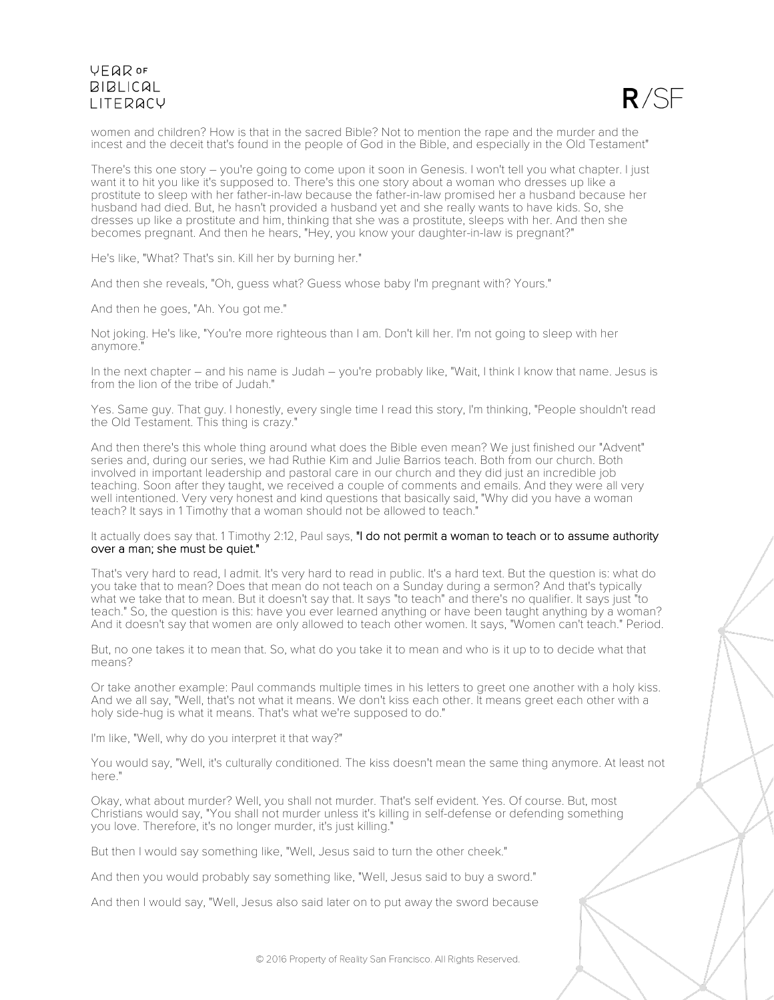

women and children? How is that in the sacred Bible? Not to mention the rape and the murder and the incest and the deceit that's found in the people of God in the Bible, and especially in the Old Testament"

There's this one story – you're going to come upon it soon in Genesis. I won't tell you what chapter. I just want it to hit you like it's supposed to. There's this one story about a woman who dresses up like a prostitute to sleep with her father-in-law because the father-in-law promised her a husband because her husband had died. But, he hasn't provided a husband yet and she really wants to have kids. So, she dresses up like a prostitute and him, thinking that she was a prostitute, sleeps with her. And then she becomes pregnant. And then he hears, "Hey, you know your daughter-in-law is pregnant?"

He's like, "What? That's sin. Kill her by burning her."

And then she reveals, "Oh, guess what? Guess whose baby I'm pregnant with? Yours."

And then he goes, "Ah. You got me."

Not joking. He's like, "You're more righteous than I am. Don't kill her. I'm not going to sleep with her anymore."

In the next chapter – and his name is Judah – you're probably like, "Wait, I think I know that name. Jesus is from the lion of the tribe of Judah."

Yes. Same guy. That guy. I honestly, every single time I read this story, I'm thinking, "People shouldn't read the Old Testament. This thing is crazy."

And then there's this whole thing around what does the Bible even mean? We just finished our "Advent" series and, during our series, we had Ruthie Kim and Julie Barrios teach. Both from our church. Both involved in important leadership and pastoral care in our church and they did just an incredible job teaching. Soon after they taught, we received a couple of comments and emails. And they were all very well intentioned. Very very honest and kind questions that basically said, "Why did you have a woman teach? It says in 1 Timothy that a woman should not be allowed to teach."

### It actually does say that. 1 Timothy 2:12, Paul says, "I do not permit a woman to teach or to assume authority over a man; she must be quiet."

That's very hard to read, I admit. It's very hard to read in public. It's a hard text. But the question is: what do you take that to mean? Does that mean do not teach on a Sunday during a sermon? And that's typically what we take that to mean. But it doesn't say that. It says "to teach" and there's no qualifier. It says just "to teach." So, the question is this: have you ever learned anything or have been taught anything by a woman? And it doesn't say that women are only allowed to teach other women. It says, "Women can't teach." Period.

But, no one takes it to mean that. So, what do you take it to mean and who is it up to to decide what that means?

Or take another example: Paul commands multiple times in his letters to greet one another with a holy kiss. And we all say, "Well, that's not what it means. We don't kiss each other. It means greet each other with a holy side-hug is what it means. That's what we're supposed to do."

I'm like, "Well, why do you interpret it that way?"

You would say, "Well, it's culturally conditioned. The kiss doesn't mean the same thing anymore. At least not here."

Okay, what about murder? Well, you shall not murder. That's self evident. Yes. Of course. But, most Christians would say, "You shall not murder unless it's killing in self-defense or defending something you love. Therefore, it's no longer murder, it's just killing."

But then I would say something like, "Well, Jesus said to turn the other cheek."

And then you would probably say something like, "Well, Jesus said to buy a sword."

And then I would say, "Well, Jesus also said later on to put away the sword because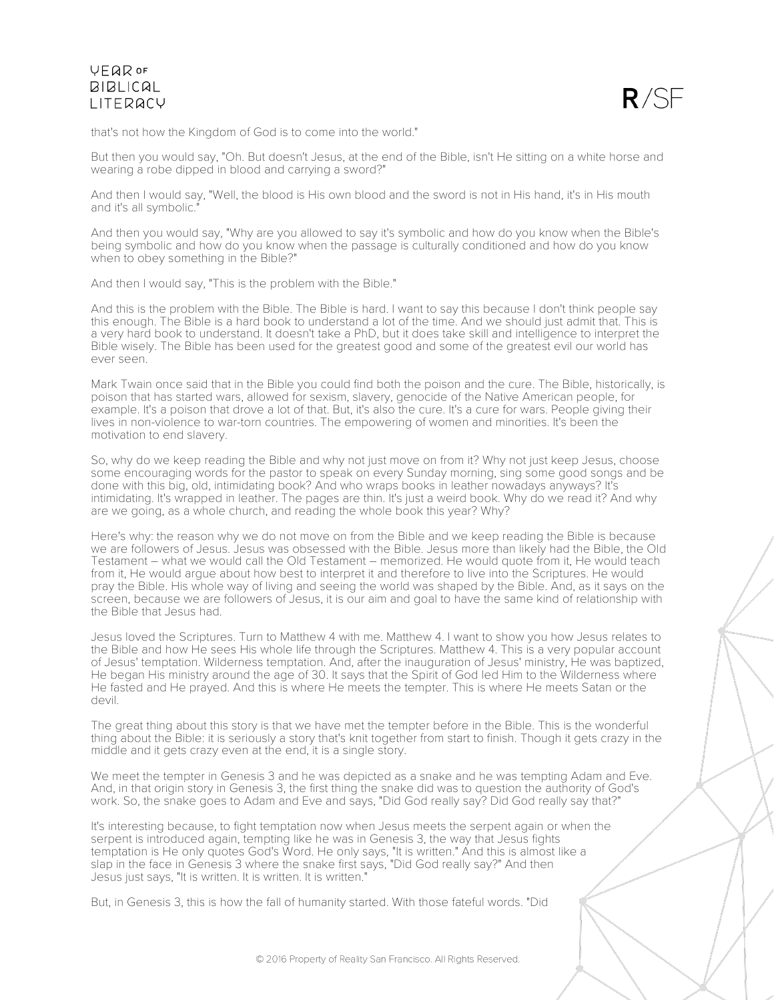

that's not how the Kingdom of God is to come into the world."

But then you would say, "Oh. But doesn't Jesus, at the end of the Bible, isn't He sitting on a white horse and wearing a robe dipped in blood and carrying a sword?"

And then I would say, "Well, the blood is His own blood and the sword is not in His hand, it's in His mouth and it's all symbolic."

And then you would say, "Why are you allowed to say it's symbolic and how do you know when the Bible's being symbolic and how do you know when the passage is culturally conditioned and how do you know when to obey something in the Bible?"

And then I would say, "This is the problem with the Bible."

And this is the problem with the Bible. The Bible is hard. I want to say this because I don't think people say this enough. The Bible is a hard book to understand a lot of the time. And we should just admit that. This is a very hard book to understand. It doesn't take a PhD, but it does take skill and intelligence to interpret the Bible wisely. The Bible has been used for the greatest good and some of the greatest evil our world has ever seen.

Mark Twain once said that in the Bible you could find both the poison and the cure. The Bible, historically, is poison that has started wars, allowed for sexism, slavery, genocide of the Native American people, for example. It's a poison that drove a lot of that. But, it's also the cure. It's a cure for wars. People giving their lives in non-violence to war-torn countries. The empowering of women and minorities. It's been the motivation to end slavery.

So, why do we keep reading the Bible and why not just move on from it? Why not just keep Jesus, choose some encouraging words for the pastor to speak on every Sunday morning, sing some good songs and be done with this big, old, intimidating book? And who wraps books in leather nowadays anyways? It's intimidating. It's wrapped in leather. The pages are thin. It's just a weird book. Why do we read it? And why are we going, as a whole church, and reading the whole book this year? Why?

Here's why: the reason why we do not move on from the Bible and we keep reading the Bible is because we are followers of Jesus. Jesus was obsessed with the Bible. Jesus more than likely had the Bible, the Old Testament – what we would call the Old Testament – memorized. He would quote from it, He would teach from it, He would argue about how best to interpret it and therefore to live into the Scriptures. He would pray the Bible. His whole way of living and seeing the world was shaped by the Bible. And, as it says on the screen, because we are followers of Jesus, it is our aim and goal to have the same kind of relationship with the Bible that Jesus had.

Jesus loved the Scriptures. Turn to Matthew 4 with me. Matthew 4. I want to show you how Jesus relates to the Bible and how He sees His whole life through the Scriptures. Matthew 4. This is a very popular account of Jesus' temptation. Wilderness temptation. And, after the inauguration of Jesus' ministry, He was baptized, He began His ministry around the age of 30. It says that the Spirit of God led Him to the Wilderness where He fasted and He prayed. And this is where He meets the tempter. This is where He meets Satan or the devil.

The great thing about this story is that we have met the tempter before in the Bible. This is the wonderful thing about the Bible: it is seriously a story that's knit together from start to finish. Though it gets crazy in the middle and it gets crazy even at the end, it is a single story.

We meet the tempter in Genesis 3 and he was depicted as a snake and he was tempting Adam and Eve. And, in that origin story in Genesis 3, the first thing the snake did was to question the authority of God's work. So, the snake goes to Adam and Eve and says, "Did God really say? Did God really say that?"

It's interesting because, to fight temptation now when Jesus meets the serpent again or when the serpent is introduced again, tempting like he was in Genesis 3, the way that Jesus fights temptation is He only quotes God's Word. He only says, "It is written." And this is almost like a slap in the face in Genesis 3 where the snake first says, "Did God really say?" And then Jesus just says, "It is written. It is written. It is written."

But, in Genesis 3, this is how the fall of humanity started. With those fateful words. "Did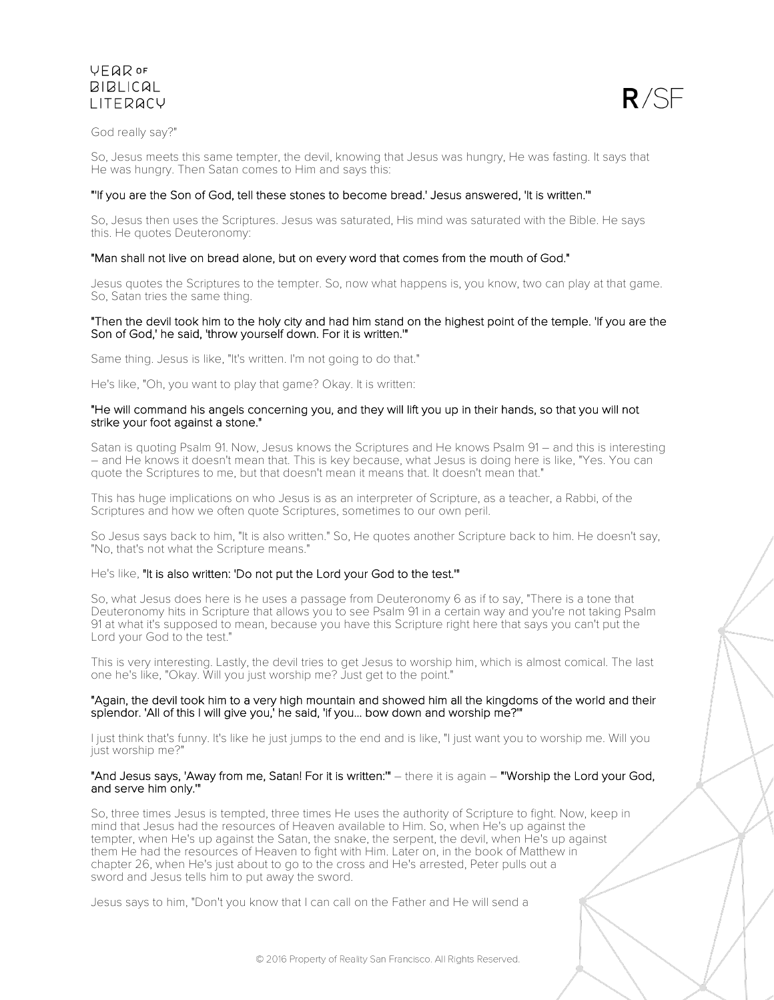

God really say?"

So, Jesus meets this same tempter, the devil, knowing that Jesus was hungry, He was fasting. It says that He was hungry. Then Satan comes to Him and says this:

### "'If you are the Son of God, tell these stones to become bread.' Jesus answered, 'It is written.'"

So, Jesus then uses the Scriptures. Jesus was saturated, His mind was saturated with the Bible. He says this. He quotes Deuteronomy:

### "Man shall not live on bread alone, but on every word that comes from the mouth of God."

Jesus quotes the Scriptures to the tempter. So, now what happens is, you know, two can play at that game. So, Satan tries the same thing.

### "Then the devil took him to the holy city and had him stand on the highest point of the temple. 'If you are the Son of God,' he said, 'throw yourself down. For it is written."

Same thing. Jesus is like, "It's written. I'm not going to do that."

He's like, "Oh, you want to play that game? Okay. It is written:

### "He will command his angels concerning you, and they will lift you up in their hands, so that you will not strike your foot against a stone."

Satan is quoting Psalm 91. Now, Jesus knows the Scriptures and He knows Psalm 91 – and this is interesting – and He knows it doesn't mean that. This is key because, what Jesus is doing here is like, "Yes. You can quote the Scriptures to me, but that doesn't mean it means that. It doesn't mean that."

This has huge implications on who Jesus is as an interpreter of Scripture, as a teacher, a Rabbi, of the Scriptures and how we often quote Scriptures, sometimes to our own peril.

So Jesus says back to him, "It is also written." So, He quotes another Scripture back to him. He doesn't say, "No, that's not what the Scripture means."

He's like, "It is also written: 'Do not put the Lord your God to the test.'"

So, what Jesus does here is he uses a passage from Deuteronomy 6 as if to say, "There is a tone that Deuteronomy hits in Scripture that allows you to see Psalm 91 in a certain way and you're not taking Psalm 91 at what it's supposed to mean, because you have this Scripture right here that says you can't put the Lord your God to the test."

This is very interesting. Lastly, the devil tries to get Jesus to worship him, which is almost comical. The last one he's like, "Okay. Will you just worship me? Just get to the point."

### "Again, the devil took him to a very high mountain and showed him all the kingdoms of the world and their splendor. 'All of this I will give you,' he said, 'if you... bow down and worship me?'"

I just think that's funny. It's like he just jumps to the end and is like, "I just want you to worship me. Will you just worship me?"

### "And Jesus says, 'Away from me, Satan! For it is written:'" – there it is again – "'Worship the Lord your God, and serve him only.'"

So, three times Jesus is tempted, three times He uses the authority of Scripture to fight. Now, keep in mind that Jesus had the resources of Heaven available to Him. So, when He's up against the tempter, when He's up against the Satan, the snake, the serpent, the devil, when He's up against them He had the resources of Heaven to fight with Him. Later on, in the book of Matthew in chapter 26, when He's just about to go to the cross and He's arrested, Peter pulls out a sword and Jesus tells him to put away the sword.

Jesus says to him, "Don't you know that I can call on the Father and He will send a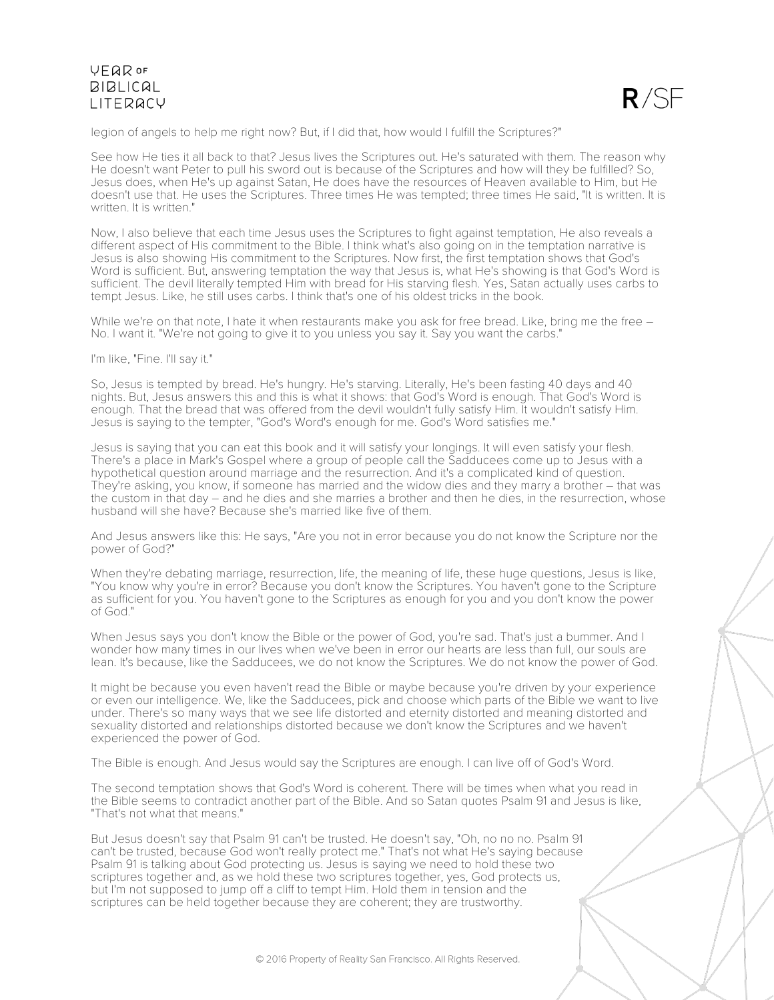

legion of angels to help me right now? But, if I did that, how would I fulfill the Scriptures?"

See how He ties it all back to that? Jesus lives the Scriptures out. He's saturated with them. The reason why He doesn't want Peter to pull his sword out is because of the Scriptures and how will they be fulfilled? So, Jesus does, when He's up against Satan, He does have the resources of Heaven available to Him, but He doesn't use that. He uses the Scriptures. Three times He was tempted; three times He said, "It is written. It is written. It is written."

Now, I also believe that each time Jesus uses the Scriptures to fight against temptation, He also reveals a different aspect of His commitment to the Bible. I think what's also going on in the temptation narrative is Jesus is also showing His commitment to the Scriptures. Now first, the first temptation shows that God's Word is sufficient. But, answering temptation the way that Jesus is, what He's showing is that God's Word is sufficient. The devil literally tempted Him with bread for His starving flesh. Yes, Satan actually uses carbs to tempt Jesus. Like, he still uses carbs. I think that's one of his oldest tricks in the book.

While we're on that note, I hate it when restaurants make you ask for free bread. Like, bring me the free –<br>No. I want it. "We're not going to give it to you unless you say it. Say you want the carbs."

I'm like, "Fine. I'll say it."

So, Jesus is tempted by bread. He's hungry. He's starving. Literally, He's been fasting 40 days and 40 nights. But, Jesus answers this and this is what it shows: that God's Word is enough. That God's Word is enough. That the bread that was offered from the devil wouldn't fully satisfy Him. It wouldn't satisfy Him. Jesus is saying to the tempter, "God's Word's enough for me. God's Word satisfies me."

Jesus is saying that you can eat this book and it will satisfy your longings. It will even satisfy your flesh. There's a place in Mark's Gospel where a group of people call the Sadducees come up to Jesus with a hypothetical question around marriage and the resurrection. And it's a complicated kind of question. They're asking, you know, if someone has married and the widow dies and they marry a brother – that was the custom in that day – and he dies and she marries a brother and then he dies, in the resurrection, whose husband will she have? Because she's married like five of them.

And Jesus answers like this: He says, "Are you not in error because you do not know the Scripture nor the power of God?"

When they're debating marriage, resurrection, life, the meaning of life, these huge questions, Jesus is like, "You know why you're in error? Because you don't know the Scriptures. You haven't gone to the Scripture as sufficient for you. You haven't gone to the Scriptures as enough for you and you don't know the power of God."

When Jesus says you don't know the Bible or the power of God, you're sad. That's just a bummer. And I wonder how many times in our lives when we've been in error our hearts are less than full, our souls are lean. It's because, like the Sadducees, we do not know the Scriptures. We do not know the power of God.

It might be because you even haven't read the Bible or maybe because you're driven by your experience or even our intelligence. We, like the Sadducees, pick and choose which parts of the Bible we want to live under. There's so many ways that we see life distorted and eternity distorted and meaning distorted and sexuality distorted and relationships distorted because we don't know the Scriptures and we haven't experienced the power of God.

The Bible is enough. And Jesus would say the Scriptures are enough. I can live off of God's Word.

The second temptation shows that God's Word is coherent. There will be times when what you read in the Bible seems to contradict another part of the Bible. And so Satan quotes Psalm 91 and Jesus is like, "That's not what that means."

But Jesus doesn't say that Psalm 91 can't be trusted. He doesn't say, "Oh, no no no. Psalm 91 can't be trusted, because God won't really protect me." That's not what He's saying because Psalm 91 is talking about God protecting us. Jesus is saying we need to hold these two scriptures together and, as we hold these two scriptures together, yes, God protects us, but I'm not supposed to jump off a cliff to tempt Him. Hold them in tension and the scriptures can be held together because they are coherent; they are trustworthy.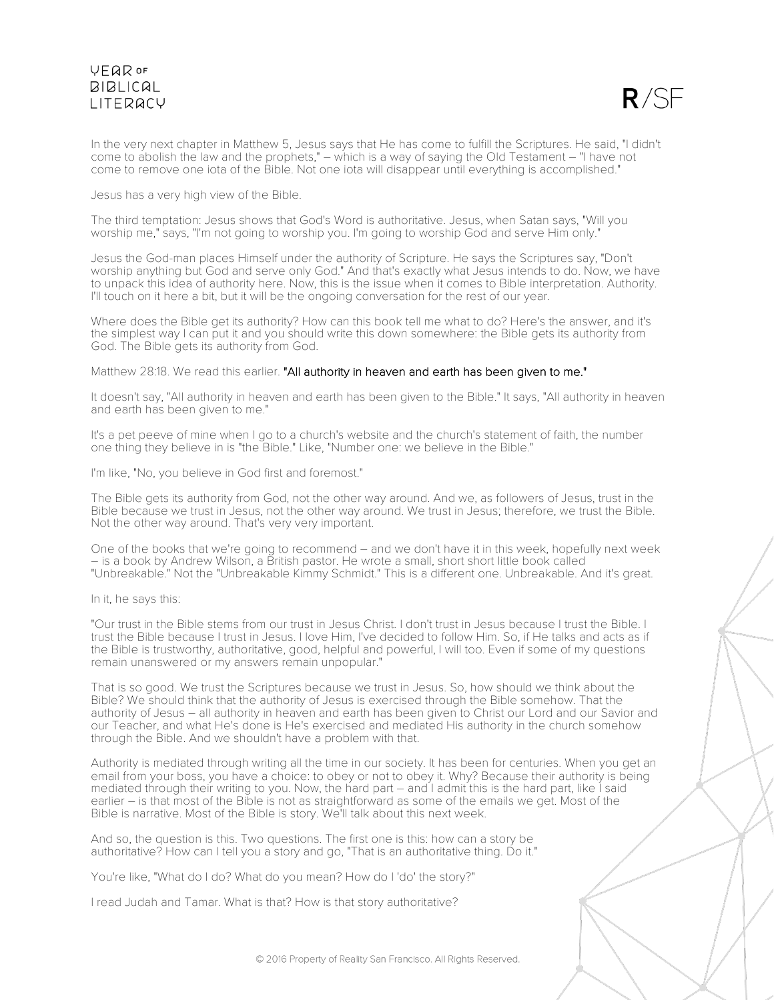

In the very next chapter in Matthew 5, Jesus says that He has come to fulfill the Scriptures. He said, "I didn't come to abolish the law and the prophets," – which is a way of saying the Old Testament – "I have not come to remove one iota of the Bible. Not one iota will disappear until everything is accomplished."

Jesus has a very high view of the Bible.

The third temptation: Jesus shows that God's Word is authoritative. Jesus, when Satan says, "Will you worship me," says, "I'm not going to worship you. I'm going to worship God and serve Him only."

Jesus the God-man places Himself under the authority of Scripture. He says the Scriptures say, "Don't worship anything but God and serve only God." And that's exactly what Jesus intends to do. Now, we have to unpack this idea of authority here. Now, this is the issue when it comes to Bible interpretation. Authority. I'll touch on it here a bit, but it will be the ongoing conversation for the rest of our year.

Where does the Bible get its authority? How can this book tell me what to do? Here's the answer, and it's the simplest way I can put it and you should write this down somewhere: the Bible gets its authority from God. The Bible gets its authority from God.

Matthew 28:18. We read this earlier. "All authority in heaven and earth has been given to me."

It doesn't say, "All authority in heaven and earth has been given to the Bible." It says, "All authority in heaven and earth has been given to me."

It's a pet peeve of mine when I go to a church's website and the church's statement of faith, the number one thing they believe in is "the Bible." Like, "Number one: we believe in the Bible."

I'm like, "No, you believe in God first and foremost."

The Bible gets its authority from God, not the other way around. And we, as followers of Jesus, trust in the Bible because we trust in Jesus, not the other way around. We trust in Jesus; therefore, we trust the Bible. Not the other way around. That's very very important.

One of the books that we're going to recommend – and we don't have it in this week, hopefully next week – is a book by Andrew Wilson, a British pastor. He wrote a small, short short little book called "Unbreakable." Not the "Unbreakable Kimmy Schmidt." This is a different one. Unbreakable. And it's great.

In it, he says this:

"Our trust in the Bible stems from our trust in Jesus Christ. I don't trust in Jesus because I trust the Bible. I trust the Bible because I trust in Jesus. I love Him, I've decided to follow Him. So, if He talks and acts as if the Bible is trustworthy, authoritative, good, helpful and powerful, I will too. Even if some of my questions remain unanswered or my answers remain unpopular."

That is so good. We trust the Scriptures because we trust in Jesus. So, how should we think about the Bible? We should think that the authority of Jesus is exercised through the Bible somehow. That the authority of Jesus – all authority in heaven and earth has been given to Christ our Lord and our Savior and our Teacher, and what He's done is He's exercised and mediated His authority in the church somehow through the Bible. And we shouldn't have a problem with that.

Authority is mediated through writing all the time in our society. It has been for centuries. When you get an email from your boss, you have a choice: to obey or not to obey it. Why? Because their authority is being mediated through their writing to you. Now, the hard part – and I admit this is the hard part, like I said earlier – is that most of the Bible is not as straightforward as some of the emails we get. Most of the Bible is narrative. Most of the Bible is story. We'll talk about this next week.

And so, the question is this. Two questions. The first one is this: how can a story be authoritative? How can I tell you a story and go, "That is an authoritative thing. Do it."

You're like, "What do I do? What do you mean? How do I 'do' the story?"

I read Judah and Tamar. What is that? How is that story authoritative?